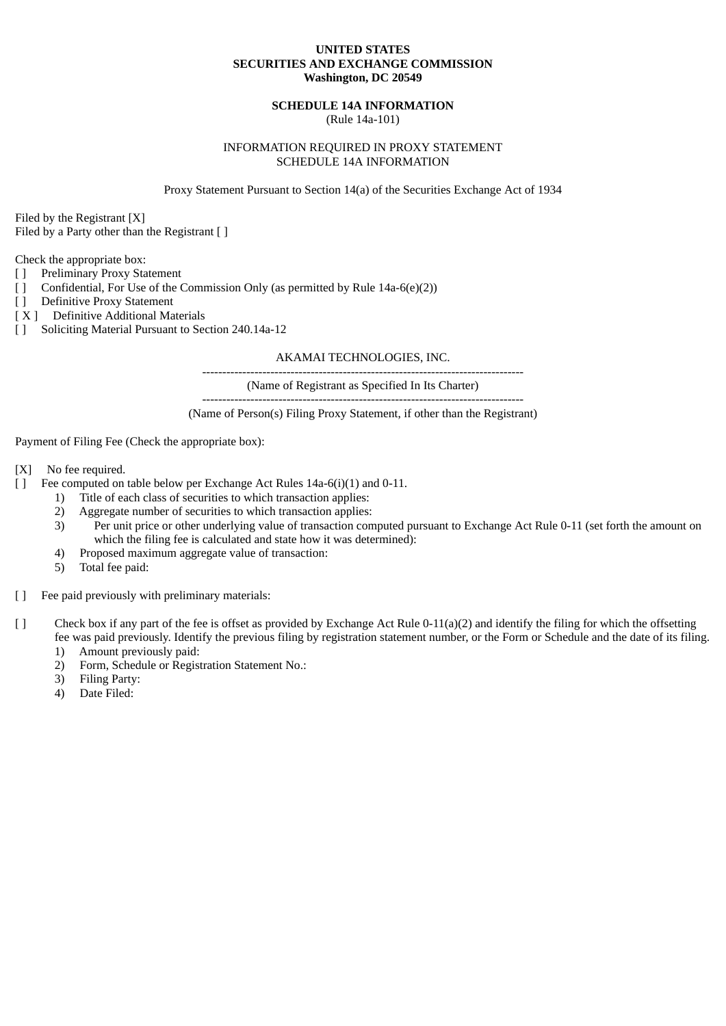# **UNITED STATES SECURITIES AND EXCHANGE COMMISSION Washington, DC 20549**

# **SCHEDULE 14A INFORMATION**

(Rule 14a-101)

# INFORMATION REQUIRED IN PROXY STATEMENT SCHEDULE 14A INFORMATION

Proxy Statement Pursuant to Section 14(a) of the Securities Exchange Act of 1934

Filed by the Registrant [X]

Filed by a Party other than the Registrant [ ]

Check the appropriate box:

- [ ] Preliminary Proxy Statement
- [ ] Confidential, For Use of the Commission Only (as permitted by Rule 14a-6(e)(2))
- [ ] Definitive Proxy Statement
- [ X ] Definitive Additional Materials
- [ ] Soliciting Material Pursuant to Section 240.14a-12

### AKAMAI TECHNOLOGIES, INC.

--------------------------------------------------------------------------------

(Name of Registrant as Specified In Its Charter)

(Name of Person(s) Filing Proxy Statement, if other than the Registrant)

Payment of Filing Fee (Check the appropriate box):

- [X] No fee required.
- [ ] Fee computed on table below per Exchange Act Rules 14a-6(i)(1) and 0-11.
	- 1) Title of each class of securities to which transaction applies:
	- 2) Aggregate number of securities to which transaction applies:
	- 3) Per unit price or other underlying value of transaction computed pursuant to Exchange Act Rule 0-11 (set forth the amount on which the filing fee is calculated and state how it was determined):
	- 4) Proposed maximum aggregate value of transaction:
	- 5) Total fee paid:
- [ ] Fee paid previously with preliminary materials:
- [ ] Check box if any part of the fee is offset as provided by Exchange Act Rule 0-11(a)(2) and identify the filing for which the offsetting fee was paid previously. Identify the previous filing by registration statement number, or the Form or Schedule and the date of its filing.
	- 1) Amount previously paid:
	- 2) Form, Schedule or Registration Statement No.:
	- 3) Filing Party:
	- 4) Date Filed: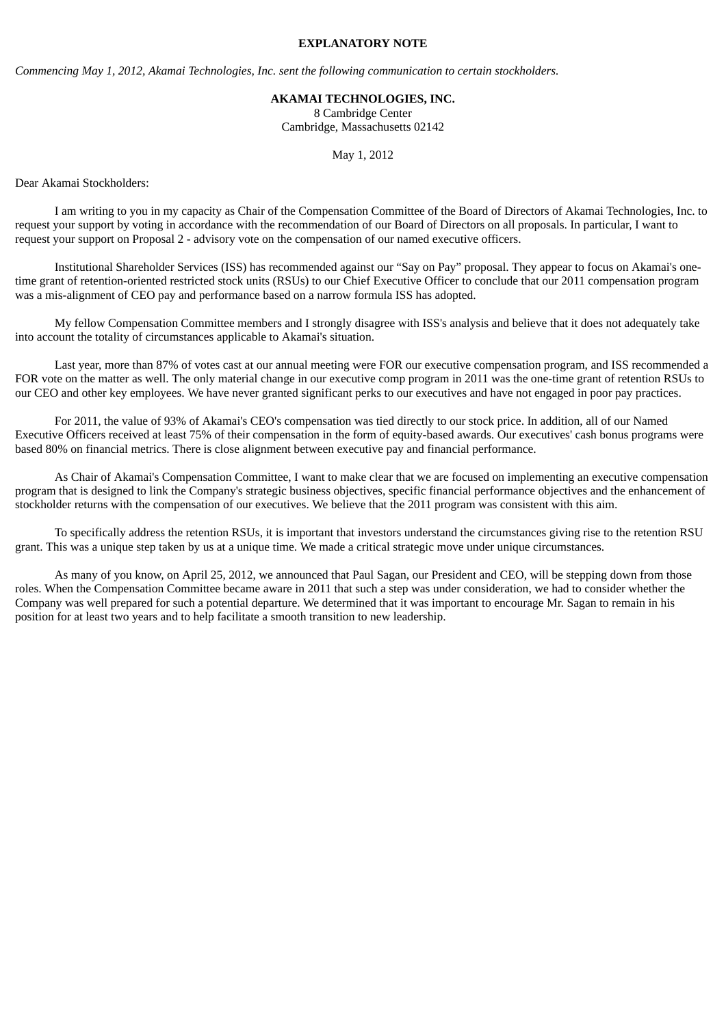### **EXPLANATORY NOTE**

*Commencing May 1, 2012, Akamai Technologies, Inc. sent the following communication to certain stockholders.*

#### **AKAMAI TECHNOLOGIES, INC.**

8 Cambridge Center Cambridge, Massachusetts 02142

May 1, 2012

Dear Akamai Stockholders:

I am writing to you in my capacity as Chair of the Compensation Committee of the Board of Directors of Akamai Technologies, Inc. to request your support by voting in accordance with the recommendation of our Board of Directors on all proposals. In particular, I want to request your support on Proposal 2 - advisory vote on the compensation of our named executive officers.

Institutional Shareholder Services (ISS) has recommended against our "Say on Pay" proposal. They appear to focus on Akamai's onetime grant of retention-oriented restricted stock units (RSUs) to our Chief Executive Officer to conclude that our 2011 compensation program was a mis-alignment of CEO pay and performance based on a narrow formula ISS has adopted.

My fellow Compensation Committee members and I strongly disagree with ISS's analysis and believe that it does not adequately take into account the totality of circumstances applicable to Akamai's situation.

Last year, more than 87% of votes cast at our annual meeting were FOR our executive compensation program, and ISS recommended a FOR vote on the matter as well. The only material change in our executive comp program in 2011 was the one-time grant of retention RSUs to our CEO and other key employees. We have never granted significant perks to our executives and have not engaged in poor pay practices.

For 2011, the value of 93% of Akamai's CEO's compensation was tied directly to our stock price. In addition, all of our Named Executive Officers received at least 75% of their compensation in the form of equity-based awards. Our executives' cash bonus programs were based 80% on financial metrics. There is close alignment between executive pay and financial performance.

As Chair of Akamai's Compensation Committee, I want to make clear that we are focused on implementing an executive compensation program that is designed to link the Company's strategic business objectives, specific financial performance objectives and the enhancement of stockholder returns with the compensation of our executives. We believe that the 2011 program was consistent with this aim.

To specifically address the retention RSUs, it is important that investors understand the circumstances giving rise to the retention RSU grant. This was a unique step taken by us at a unique time. We made a critical strategic move under unique circumstances.

As many of you know, on April 25, 2012, we announced that Paul Sagan, our President and CEO, will be stepping down from those roles. When the Compensation Committee became aware in 2011 that such a step was under consideration, we had to consider whether the Company was well prepared for such a potential departure. We determined that it was important to encourage Mr. Sagan to remain in his position for at least two years and to help facilitate a smooth transition to new leadership.